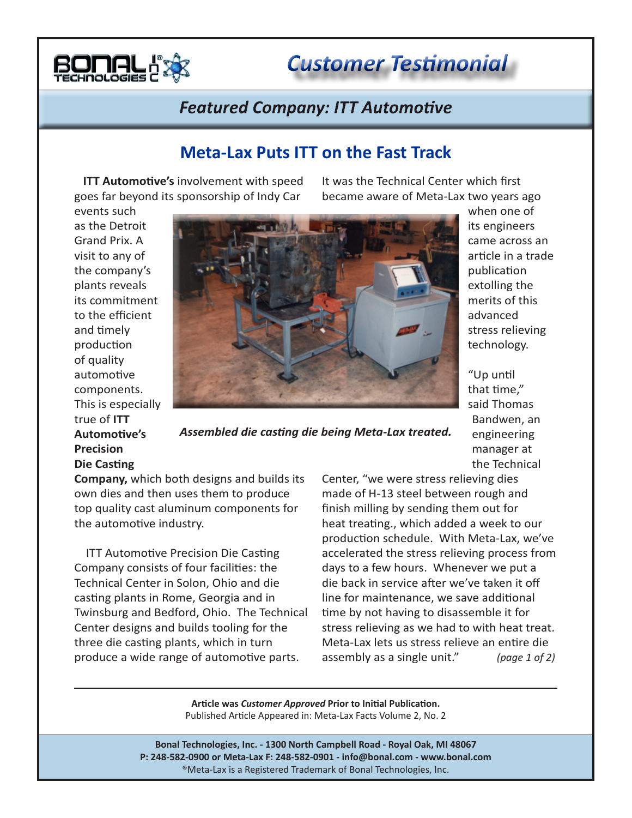

*Customer Testimonial*

## **Featured Company: ITT Automotive**

## **Meta-Lax Puts ITT on the Fast Track**

 **ITT Automotive's** involvement with speed goes far beyond its sponsorship of Indy Car

It was the Technical Center which first became aware of Meta-Lax two years ago

events such as the Detroit Grand Prix. A visit to any of the company's plants reveals its commitment to the efficient and timely production of quality automotive components. This is especially true of **ITT Automotive's Precision Die Casting** 



*Assembled die casting die being Meta-Lax treated.*

when one of its engineers came across an article in a trade publication extolling the merits of this advanced stress relieving technology.

"Up until that time," said Thomas Bandwen, an engineering manager at the Technical

**Company,** which both designs and builds its own dies and then uses them to produce top quality cast aluminum components for the automotive industry.

 ITT Automotive Precision Die Casting Company consists of four facilities: the Technical Center in Solon, Ohio and die casting plants in Rome, Georgia and in Twinsburg and Bedford, Ohio. The Technical Center designs and builds tooling for the three die casting plants, which in turn produce a wide range of automotive parts.

Center, "we were stress relieving dies made of H-13 steel between rough and finish milling by sending them out for heat treating., which added a week to our production schedule. With Meta-Lax, we've accelerated the stress relieving process from days to a few hours. Whenever we put a die back in service after we've taken it off line for maintenance, we save additional time by not having to disassemble it for stress relieving as we had to with heat treat. Meta-Lax lets us stress relieve an entire die assembly as a single unit." *(page 1 of 2)*

**Article was** *Customer Approved* **Prior to Initial Publication.** Published Article Appeared in: Meta-Lax Facts Volume 2, No. 2

**Bonal Technologies, Inc. - 1300 North Campbell Road - Royal Oak, MI 48067 P: 248-582-0900 or Meta-Lax F: 248-582-0901 - info@bonal.com - www.bonal.com** ®Meta-Lax is a Registered Trademark of Bonal Technologies, Inc.